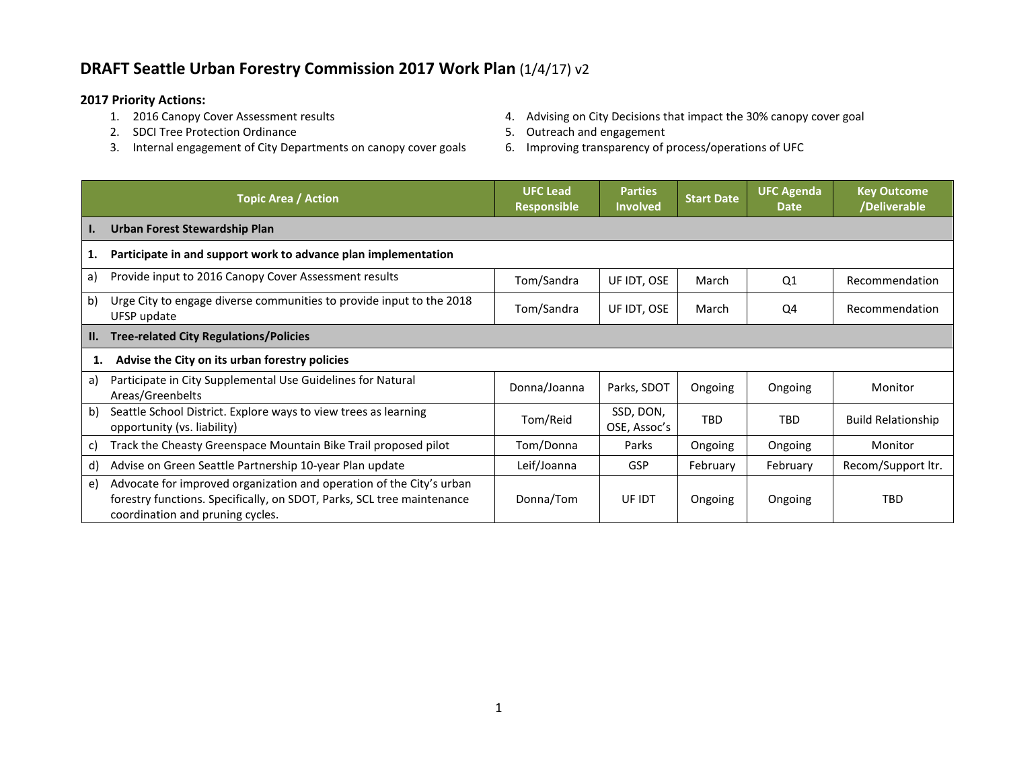## **DRAFT Seattle Urban Forestry Commission 2017 Work Plan** (1/4/17) v2

- **2017 Priority Actions:**
	- 2. SDCI Tree Protection Ordinance and Equipment of the Section 4 of the Section 4 of the Section 4 of the Section 4 of the Section 4 of the Section 4 of the Section 4 of the Section 4 of the Section 4 of the Section 4 of t
	- 3. Internal engagement of City Departments on canopy cover goals 6. Improving transparency of process/operations of UFC
- 4. Advising on City Decisions that impact the 30% canopy cover goal
- -

|                 | <b>Topic Area / Action</b>                                                                                                                                                         | <b>UFC Lead</b><br><b>Responsible</b> | <b>Parties</b><br><b>Involved</b> | <b>Start Date</b> | <b>UFC Agenda</b><br><b>Date</b> | <b>Key Outcome</b><br>/Deliverable |
|-----------------|------------------------------------------------------------------------------------------------------------------------------------------------------------------------------------|---------------------------------------|-----------------------------------|-------------------|----------------------------------|------------------------------------|
| $\mathbf{I}$ .  | Urban Forest Stewardship Plan                                                                                                                                                      |                                       |                                   |                   |                                  |                                    |
| 1.              | Participate in and support work to advance plan implementation                                                                                                                     |                                       |                                   |                   |                                  |                                    |
| a)              | Provide input to 2016 Canopy Cover Assessment results                                                                                                                              | Tom/Sandra                            | UF IDT, OSE                       | March             | Q <sub>1</sub>                   | Recommendation                     |
| b)              | Urge City to engage diverse communities to provide input to the 2018<br>UFSP update                                                                                                | Tom/Sandra                            | UF IDT, OSE                       | March             | Q4                               | Recommendation                     |
| $\mathbf{II}$ . | <b>Tree-related City Regulations/Policies</b>                                                                                                                                      |                                       |                                   |                   |                                  |                                    |
| 1.              | Advise the City on its urban forestry policies                                                                                                                                     |                                       |                                   |                   |                                  |                                    |
| a)              | Participate in City Supplemental Use Guidelines for Natural<br>Areas/Greenbelts                                                                                                    | Donna/Joanna                          | Parks, SDOT                       | Ongoing           | Ongoing                          | Monitor                            |
| b)              | Seattle School District. Explore ways to view trees as learning<br>opportunity (vs. liability)                                                                                     | Tom/Reid                              | SSD, DON,<br>OSE, Assoc's         | TBD               | <b>TBD</b>                       | <b>Build Relationship</b>          |
| C)              | Track the Cheasty Greenspace Mountain Bike Trail proposed pilot                                                                                                                    | Tom/Donna                             | Parks                             | Ongoing           | Ongoing                          | Monitor                            |
| d)              | Advise on Green Seattle Partnership 10-year Plan update                                                                                                                            | Leif/Joanna                           | <b>GSP</b>                        | February          | February                         | Recom/Support ltr.                 |
| e)              | Advocate for improved organization and operation of the City's urban<br>forestry functions. Specifically, on SDOT, Parks, SCL tree maintenance<br>coordination and pruning cycles. | Donna/Tom                             | UF IDT                            | Ongoing           | Ongoing                          | TBD                                |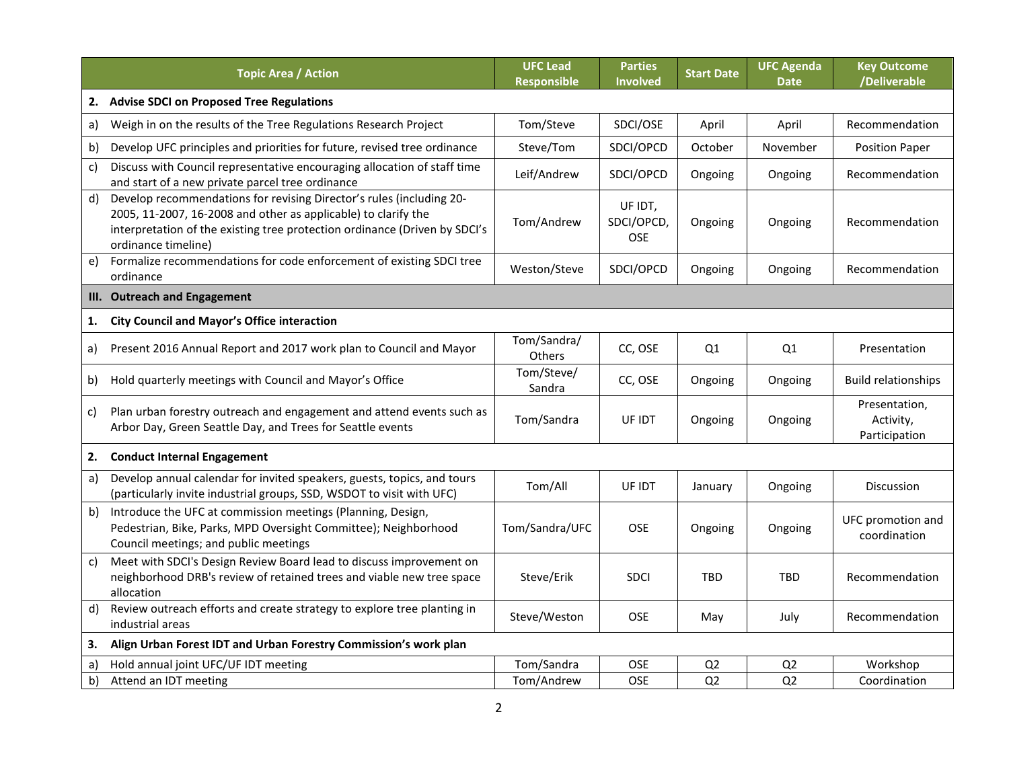|    | <b>Topic Area / Action</b>                                                                                                                                                                                                                  | <b>UFC Lead</b><br><b>Responsible</b> | <b>Parties</b><br>Involved   | <b>Start Date</b> | <b>UFC Agenda</b><br><b>Date</b> | <b>Key Outcome</b><br>/Deliverable          |
|----|---------------------------------------------------------------------------------------------------------------------------------------------------------------------------------------------------------------------------------------------|---------------------------------------|------------------------------|-------------------|----------------------------------|---------------------------------------------|
| 2. | <b>Advise SDCI on Proposed Tree Regulations</b>                                                                                                                                                                                             |                                       |                              |                   |                                  |                                             |
| a) | Weigh in on the results of the Tree Regulations Research Project                                                                                                                                                                            | Tom/Steve                             | SDCI/OSE                     | April             | April                            | Recommendation                              |
| b) | Develop UFC principles and priorities for future, revised tree ordinance                                                                                                                                                                    | Steve/Tom                             | SDCI/OPCD                    | October           | November                         | <b>Position Paper</b>                       |
| c) | Discuss with Council representative encouraging allocation of staff time<br>and start of a new private parcel tree ordinance                                                                                                                | Leif/Andrew                           | SDCI/OPCD                    | Ongoing           | Ongoing                          | Recommendation                              |
| d) | Develop recommendations for revising Director's rules (including 20-<br>2005, 11-2007, 16-2008 and other as applicable) to clarify the<br>interpretation of the existing tree protection ordinance (Driven by SDCI's<br>ordinance timeline) | Tom/Andrew                            | UF IDT,<br>SDCI/OPCD,<br>OSE | Ongoing           | Ongoing                          | Recommendation                              |
| e) | Formalize recommendations for code enforcement of existing SDCI tree<br>ordinance                                                                                                                                                           | Weston/Steve                          | SDCI/OPCD                    | Ongoing           | Ongoing                          | Recommendation                              |
| Ш. | <b>Outreach and Engagement</b>                                                                                                                                                                                                              |                                       |                              |                   |                                  |                                             |
| 1. | <b>City Council and Mayor's Office interaction</b>                                                                                                                                                                                          |                                       |                              |                   |                                  |                                             |
| a) | Present 2016 Annual Report and 2017 work plan to Council and Mayor                                                                                                                                                                          | Tom/Sandra/<br>Others                 | CC, OSE                      | Q1                | Q <sub>1</sub>                   | Presentation                                |
| b) | Hold quarterly meetings with Council and Mayor's Office                                                                                                                                                                                     | Tom/Steve/<br>Sandra                  | CC, OSE                      | Ongoing           | Ongoing                          | <b>Build relationships</b>                  |
| C) | Plan urban forestry outreach and engagement and attend events such as<br>Arbor Day, Green Seattle Day, and Trees for Seattle events                                                                                                         | Tom/Sandra                            | UF IDT                       | Ongoing           | Ongoing                          | Presentation,<br>Activity,<br>Participation |
| 2. | <b>Conduct Internal Engagement</b>                                                                                                                                                                                                          |                                       |                              |                   |                                  |                                             |
| a) | Develop annual calendar for invited speakers, guests, topics, and tours<br>(particularly invite industrial groups, SSD, WSDOT to visit with UFC)                                                                                            | Tom/All                               | UF IDT                       | January           | Ongoing                          | Discussion                                  |
| b) | Introduce the UFC at commission meetings (Planning, Design,<br>Pedestrian, Bike, Parks, MPD Oversight Committee); Neighborhood<br>Council meetings; and public meetings                                                                     | Tom/Sandra/UFC                        | <b>OSE</b>                   | Ongoing           | Ongoing                          | UFC promotion and<br>coordination           |
| c) | Meet with SDCI's Design Review Board lead to discuss improvement on<br>neighborhood DRB's review of retained trees and viable new tree space<br>allocation                                                                                  | Steve/Erik                            | <b>SDCI</b>                  | <b>TBD</b>        | <b>TBD</b>                       | Recommendation                              |
| d) | Review outreach efforts and create strategy to explore tree planting in<br>industrial areas                                                                                                                                                 | Steve/Weston                          | <b>OSE</b>                   | May               | July                             | Recommendation                              |
| 3. | Align Urban Forest IDT and Urban Forestry Commission's work plan                                                                                                                                                                            |                                       |                              |                   |                                  |                                             |
| a) | Hold annual joint UFC/UF IDT meeting                                                                                                                                                                                                        | Tom/Sandra                            | <b>OSE</b>                   | Q <sub>2</sub>    | Q <sub>2</sub>                   | Workshop                                    |
| b) | Attend an IDT meeting                                                                                                                                                                                                                       | Tom/Andrew                            | <b>OSE</b>                   | Q <sub>2</sub>    | Q <sub>2</sub>                   | Coordination                                |